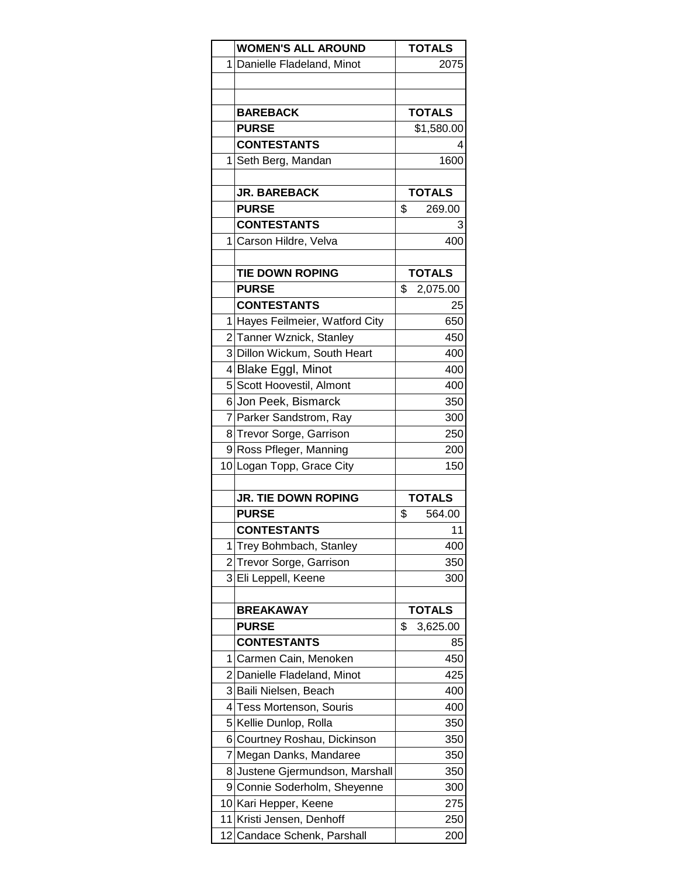|   | <b>WOMEN'S ALL AROUND</b>       | <b>TOTALS</b>  |
|---|---------------------------------|----------------|
|   | 1 Danielle Fladeland, Minot     | 2075           |
|   |                                 |                |
|   |                                 |                |
|   | <b>BAREBACK</b>                 | <b>TOTALS</b>  |
|   | <b>PURSE</b>                    | \$1,580.00     |
|   | <b>CONTESTANTS</b>              | 4              |
|   | 1 Seth Berg, Mandan             | 1600           |
|   |                                 |                |
|   | <b>JR. BAREBACK</b>             | <b>TOTALS</b>  |
|   | <b>PURSE</b>                    | \$<br>269.00   |
|   | <b>CONTESTANTS</b>              | З              |
|   | 1 Carson Hildre, Velva          | 400            |
|   |                                 |                |
|   | <b>TIE DOWN ROPING</b>          | <b>TOTALS</b>  |
|   | <b>PURSE</b>                    | \$<br>2,075.00 |
|   | <b>CONTESTANTS</b>              | 25             |
|   | 1 Hayes Feilmeier, Watford City | 650            |
|   | 2 Tanner Wznick, Stanley        | 450            |
|   | 3 Dillon Wickum, South Heart    | 400            |
|   | 4 Blake Eggl, Minot             | 400            |
|   |                                 |                |
|   | 5 Scott Hoovestil, Almont       | 400            |
|   | 6 Jon Peek, Bismarck            | 350            |
|   | 7 Parker Sandstrom, Ray         | 300            |
|   | 8 Trevor Sorge, Garrison        | 250            |
|   | 9 Ross Pfleger, Manning         | 200            |
|   | 10 Logan Topp, Grace City       | 150            |
|   |                                 |                |
|   | <b>JR. TIE DOWN ROPING</b>      | <b>TOTALS</b>  |
|   | <b>PURSE</b>                    | \$<br>564.00   |
|   | <b>CONTESTANTS</b>              | 11             |
| 1 | Trey Bohmbach, Stanley          | 400            |
| 2 | Trevor Sorge, Garrison          | 350            |
|   | 3 Eli Leppell, Keene            | 300            |
|   |                                 |                |
|   | <b>BREAKAWAY</b>                | <b>TOTALS</b>  |
|   | <b>PURSE</b>                    | \$<br>3,625.00 |
|   | <b>CONTESTANTS</b>              | 85             |
| 1 | Carmen Cain, Menoken            | 450            |
|   | 2 Danielle Fladeland, Minot     | 425            |
|   | 3 Baili Nielsen, Beach          | 400            |
|   | 4 Tess Mortenson, Souris        | 400            |
| 5 | Kellie Dunlop, Rolla            | 350            |
| 6 | Courtney Roshau, Dickinson      | 350            |
| 7 | Megan Danks, Mandaree           | 350            |
|   | 8 Justene Gjermundson, Marshall | 350            |
|   | 9 Connie Soderholm, Sheyenne    | 300            |
|   | 10 Kari Hepper, Keene           | 275            |
|   | 11 Kristi Jensen, Denhoff       | 250            |
|   | 12 Candace Schenk, Parshall     | 200            |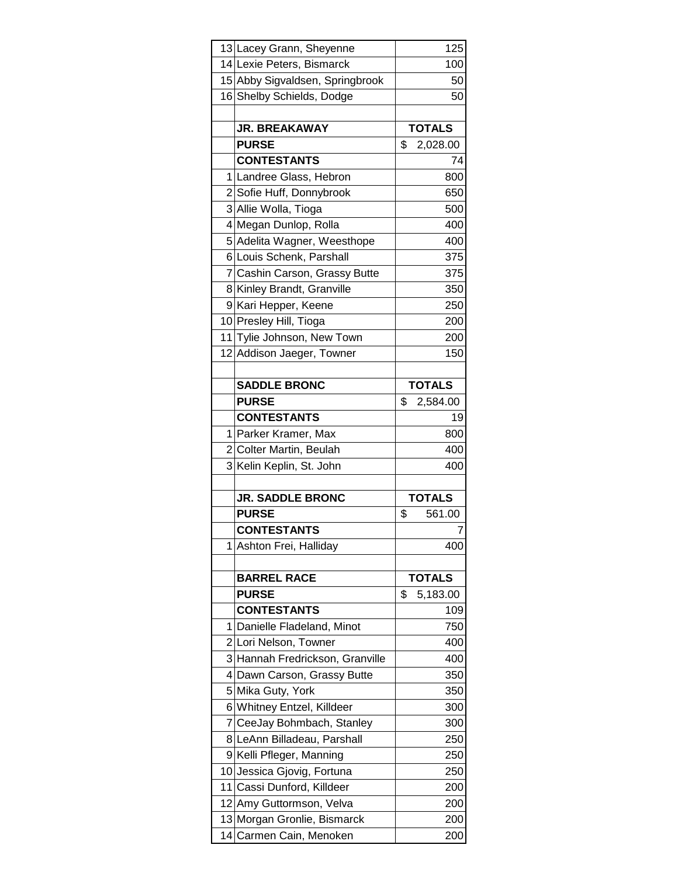|    | 13 Lacey Grann, Sheyenne                               | 125            |
|----|--------------------------------------------------------|----------------|
|    | 14 Lexie Peters, Bismarck                              | 100            |
|    | 15 Abby Sigvaldsen, Springbrook                        | 50             |
|    | 16 Shelby Schields, Dodge                              | 50             |
|    |                                                        |                |
|    | <b>JR. BREAKAWAY</b>                                   | <b>TOTALS</b>  |
|    | <b>PURSE</b>                                           | \$<br>2,028.00 |
|    | <b>CONTESTANTS</b>                                     | 74             |
|    | 1 Landree Glass, Hebron                                | 800            |
|    | 2 Sofie Huff, Donnybrook                               | 650            |
|    | 3 Allie Wolla, Tioga                                   | 500            |
|    | 4 Megan Dunlop, Rolla                                  | 400            |
|    | 5 Adelita Wagner, Weesthope                            | 400            |
|    | 6 Louis Schenk, Parshall                               | 375            |
|    | 7 Cashin Carson, Grassy Butte                          | 375            |
|    | 8 Kinley Brandt, Granville                             | 350            |
|    | 9 Kari Hepper, Keene                                   | 250            |
|    | 10 Presley Hill, Tioga                                 | 200            |
|    | 11 Tylie Johnson, New Town                             | 200            |
|    | 12 Addison Jaeger, Towner                              | 150            |
|    |                                                        |                |
|    | <b>SADDLE BRONC</b>                                    | <b>TOTALS</b>  |
|    | <b>PURSE</b>                                           | \$<br>2,584.00 |
|    | <b>CONTESTANTS</b>                                     | 19             |
|    | 1 Parker Kramer, Max                                   | 800            |
|    | 2 Colter Martin, Beulah                                | 400            |
|    | 3 Kelin Keplin, St. John                               | 400            |
|    |                                                        |                |
|    | <b>JR. SADDLE BRONC</b>                                | <b>TOTALS</b>  |
|    | <b>PURSE</b>                                           | \$<br>561.00   |
|    | <b>CONTESTANTS</b>                                     | 7              |
|    | 1 Ashton Frei, Halliday                                |                |
|    |                                                        | 400            |
|    |                                                        |                |
|    | <b>BARREL RACE</b>                                     | <b>TOTALS</b>  |
|    | <b>PURSE</b>                                           | \$<br>5,183.00 |
|    | <b>CONTESTANTS</b>                                     | 109            |
| 1  | Danielle Fladeland, Minot                              | 750            |
|    | 2 Lori Nelson, Towner                                  | 400            |
|    | 3 Hannah Fredrickson, Granville                        | 400            |
|    | 4 Dawn Carson, Grassy Butte                            | 350            |
|    | 5 Mika Guty, York                                      | 350            |
|    | 6 Whitney Entzel, Killdeer                             | 300            |
| 7  | CeeJay Bohmbach, Stanley                               | 300            |
|    | 8 LeAnn Billadeau, Parshall                            | 250            |
| 91 | Kelli Pfleger, Manning                                 | 250            |
| 10 | Jessica Gjovig, Fortuna                                | 250            |
| 11 | Cassi Dunford, Killdeer                                | 200            |
| 12 | Amy Guttormson, Velva                                  | 200            |
|    | 13 Morgan Gronlie, Bismarck<br>14 Carmen Cain, Menoken | 200<br>200     |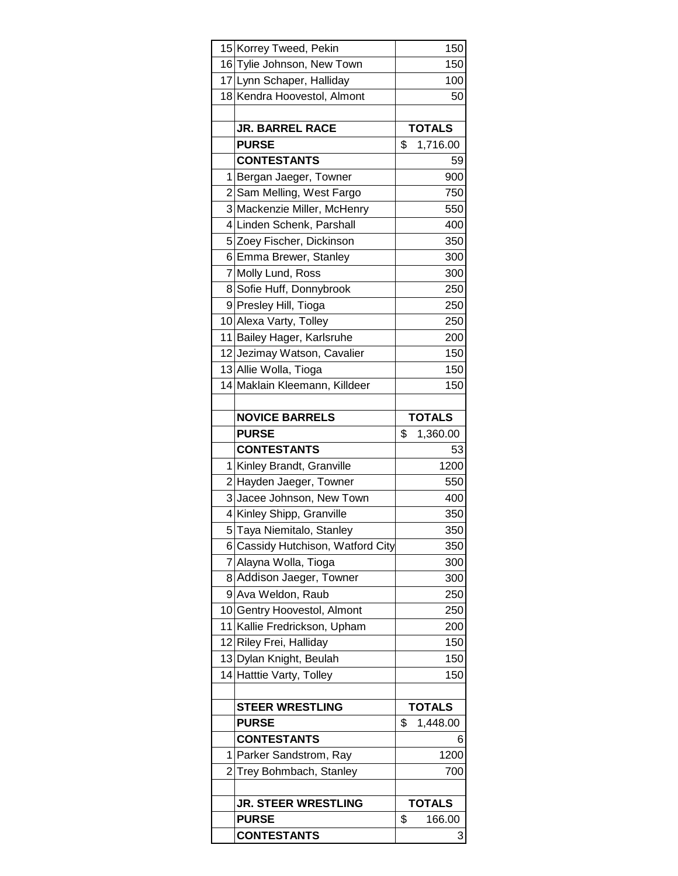|                 | 15 Korrey Tweed, Pekin                        | 150               |
|-----------------|-----------------------------------------------|-------------------|
|                 | 16 Tylie Johnson, New Town                    | 150               |
|                 | 17 Lynn Schaper, Halliday                     | 100               |
|                 | 18 Kendra Hoovestol, Almont                   | 50                |
|                 |                                               |                   |
|                 | <b>JR. BARREL RACE</b>                        | <b>TOTALS</b>     |
|                 | <b>PURSE</b>                                  | \$<br>1,716.00    |
|                 | <b>CONTESTANTS</b>                            | 59                |
|                 | 1 Bergan Jaeger, Towner                       | 900               |
|                 | 2 Sam Melling, West Fargo                     | 750               |
|                 | 3 Mackenzie Miller, McHenry                   | 550               |
|                 | 4 Linden Schenk, Parshall                     | 400               |
|                 | 5 Zoey Fischer, Dickinson                     | 350               |
|                 | 6 Emma Brewer, Stanley                        | 300               |
|                 | 7 Molly Lund, Ross                            | 300               |
|                 | 8 Sofie Huff, Donnybrook                      | 250               |
|                 | 9 Presley Hill, Tioga                         | 250               |
|                 | 10 Alexa Varty, Tolley                        | 250               |
|                 | 11 Bailey Hager, Karlsruhe                    | 200               |
|                 | 12 Jezimay Watson, Cavalier                   | 150               |
|                 | 13 Allie Wolla, Tioga                         | 150               |
|                 | 14 Maklain Kleemann, Killdeer                 | 150               |
|                 |                                               |                   |
|                 | <b>NOVICE BARRELS</b>                         | <b>TOTALS</b>     |
|                 | <b>PURSE</b>                                  | \$<br>1,360.00    |
|                 | <b>CONTESTANTS</b>                            | 53                |
|                 | 1 Kinley Brandt, Granville                    | 1200              |
|                 | 2 Hayden Jaeger, Towner                       | 550               |
|                 | 3 Jacee Johnson, New Town                     | 400               |
|                 | 4 Kinley Shipp, Granville                     | 350               |
|                 | 5 Taya Niemitalo, Stanley                     | 350               |
| 61              | Cassidy Hutchison, Watford City               | 350               |
| 7               | Alayna Wolla, Tioga<br>Addison Jaeger, Towner | 300               |
| 8               |                                               | 300               |
| 9               | Ava Weldon, Raub                              | 250               |
| 10 <sup>1</sup> | Gentry Hoovestol, Almont                      | 250               |
|                 | 11 Kallie Fredrickson, Upham                  | 200               |
|                 | 12 Riley Frei, Halliday                       | 150               |
|                 | 13 Dylan Knight, Beulah                       | 150<br>150        |
|                 | 14 Hatttie Varty, Tolley                      |                   |
|                 | <b>STEER WRESTLING</b>                        | <b>TOTALS</b>     |
|                 | <b>PURSE</b>                                  | \$<br>1,448.00    |
|                 | <b>CONTESTANTS</b>                            | 6                 |
| 1               | Parker Sandstrom, Ray                         | 1200              |
|                 | 2 Trey Bohmbach, Stanley                      | 700               |
|                 |                                               |                   |
|                 |                                               |                   |
|                 |                                               |                   |
|                 | <b>JR. STEER WRESTLING</b>                    | <b>TOTALS</b>     |
|                 | <b>PURSE</b><br><b>CONTESTANTS</b>            | \$<br>166.00<br>3 |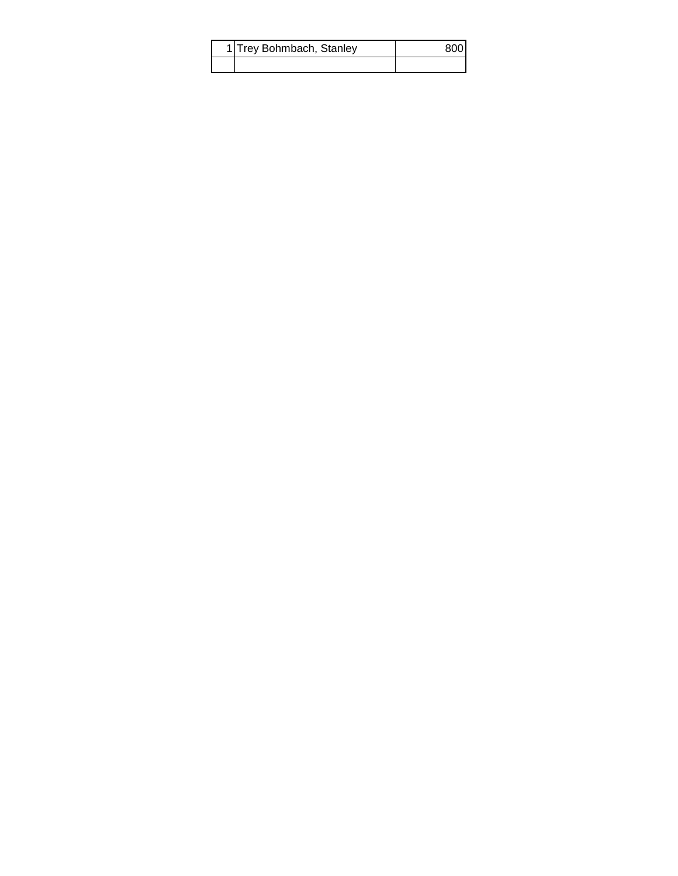| 1 Trey Bohmbach, Stanley |  |
|--------------------------|--|
|                          |  |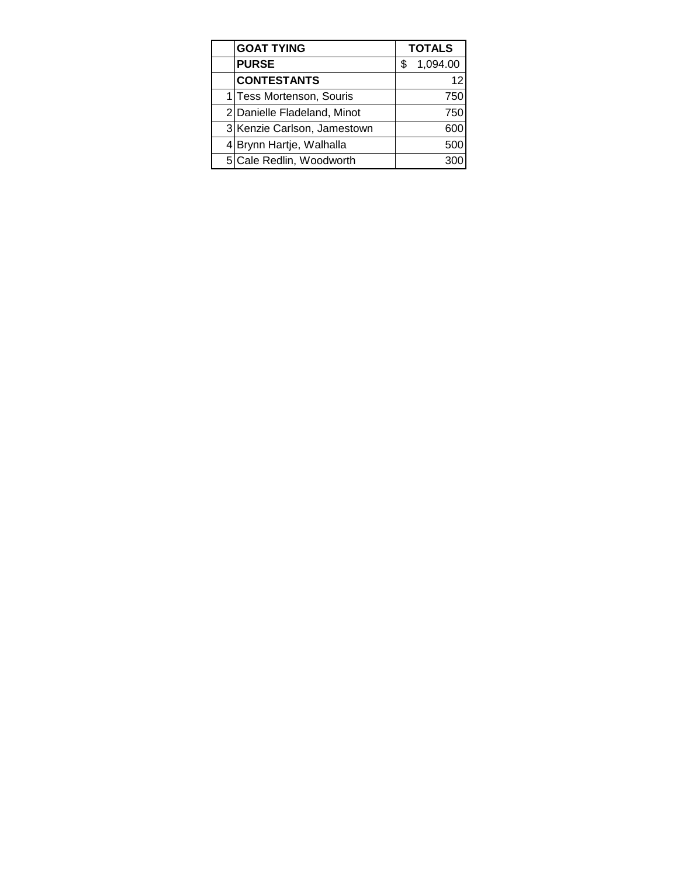| <b>GOAT TYING</b>           | <b>TOTALS</b> |          |
|-----------------------------|---------------|----------|
| <b>PURSE</b>                | S             | 1,094.00 |
| <b>CONTESTANTS</b>          |               | 12       |
| 1 Tess Mortenson, Souris    |               | 750      |
| 2 Danielle Fladeland, Minot |               | 750      |
| 3 Kenzie Carlson, Jamestown |               | 60C      |
| 4 Brynn Hartje, Walhalla    |               | 500      |
| 5 Cale Redlin, Woodworth    |               |          |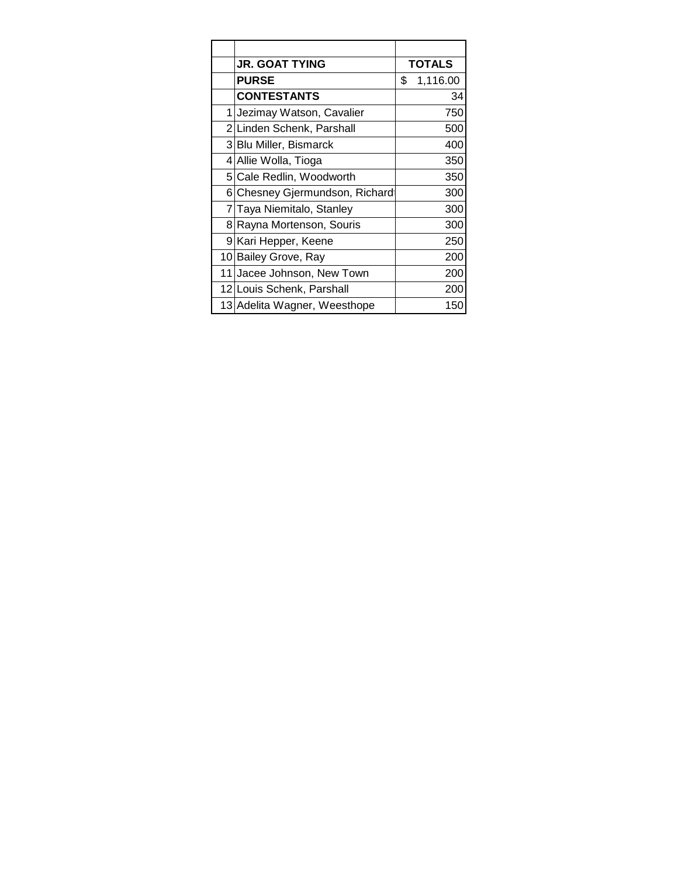|    | <b>JR. GOAT TYING</b>          | <b>TOTALS</b>  |
|----|--------------------------------|----------------|
|    | <b>PURSE</b>                   | \$<br>1,116.00 |
|    | <b>CONTESTANTS</b>             | 34             |
|    | 1 Jezimay Watson, Cavalier     | 750            |
|    | 2 Linden Schenk, Parshall      | 500            |
|    | 3 Blu Miller, Bismarck         | 400            |
|    | 4 Allie Wolla, Tioga           | 350            |
|    | 5 Cale Redlin, Woodworth       | 350            |
|    | 6 Chesney Gjermundson, Richard | 300            |
|    | 7 Taya Niemitalo, Stanley      | 300            |
|    | 8 Rayna Mortenson, Souris      | 300            |
|    | 9 Kari Hepper, Keene           | 250            |
|    | 10 Bailey Grove, Ray           | 200            |
| 11 | Jacee Johnson, New Town        | 200            |
|    | 12 Louis Schenk, Parshall      | 200            |
|    | 13 Adelita Wagner, Weesthope   | 150            |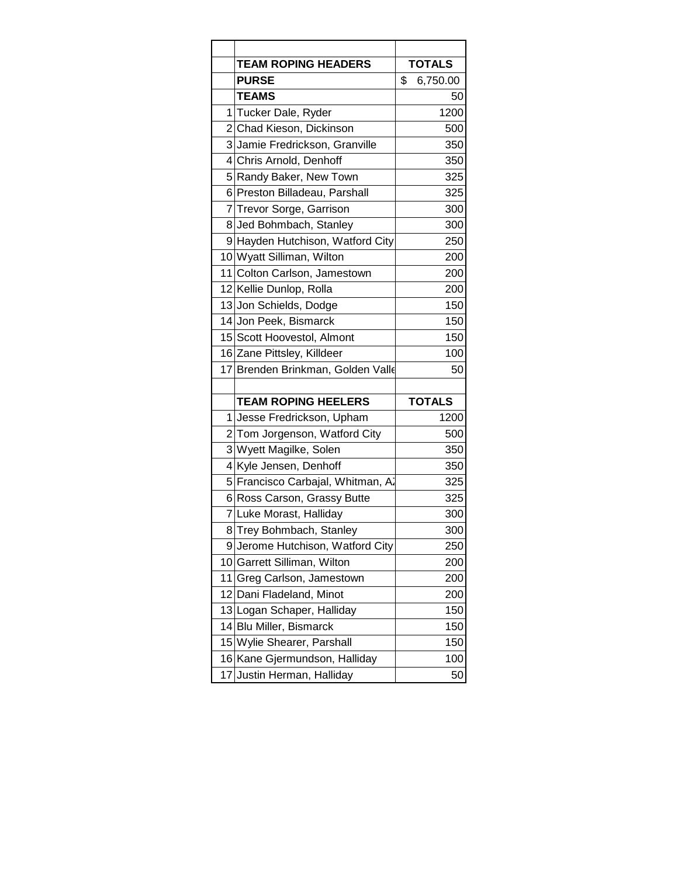|    | <b>TEAM ROPING HEADERS</b>        | <b>TOTALS</b>  |
|----|-----------------------------------|----------------|
|    | <b>PURSE</b>                      | \$<br>6,750.00 |
|    | <b>TEAMS</b>                      | 50             |
|    | 1 Tucker Dale, Ryder              | 1200           |
|    | 2 Chad Kieson, Dickinson          | 500            |
|    | 3 Jamie Fredrickson, Granville    | 350            |
|    | 4 Chris Arnold, Denhoff           | 350            |
|    | 5 Randy Baker, New Town           | 325            |
|    | 6 Preston Billadeau, Parshall     | 325            |
|    | 7 Trevor Sorge, Garrison          | 300            |
|    | 8 Jed Bohmbach, Stanley           | 300            |
|    | 9 Hayden Hutchison, Watford City  | 250            |
|    | 10 Wyatt Silliman, Wilton         | 200            |
|    | 11 Colton Carlson, Jamestown      | 200            |
|    | 12 Kellie Dunlop, Rolla           | 200            |
|    | 13 Jon Schields, Dodge            | 150            |
|    | 14 Jon Peek, Bismarck             | 150            |
|    | 15 Scott Hoovestol, Almont        | 150            |
|    | 16 Zane Pittsley, Killdeer        | 100            |
|    | 17 Brenden Brinkman, Golden Valle | 50             |
|    |                                   |                |
|    | <b>TEAM ROPING HEELERS</b>        | <b>TOTALS</b>  |
|    | 1 Jesse Fredrickson, Upham        | 1200           |
|    | 2 Tom Jorgenson, Watford City     | 500            |
|    |                                   |                |
|    | 3 Wyett Magilke, Solen            | 350            |
|    | 4 Kyle Jensen, Denhoff            | 350            |
|    | 5 Francisco Carbajal, Whitman, A. | 325            |
|    | 6 Ross Carson, Grassy Butte       | 325            |
|    | 7 Luke Morast, Halliday           | 300            |
|    | 8 Trey Bohmbach, Stanley          | 300            |
| 9  | Jerome Hutchison, Watford City    | 250            |
| 10 | Garrett Silliman, Wilton          | 200            |
| 11 | Greg Carlson, Jamestown           | 200            |
| 12 | Dani Fladeland, Minot             | 200            |
|    | 13 Logan Schaper, Halliday        | 150            |
| 14 | Blu Miller, Bismarck              | 150            |
| 15 | Wylie Shearer, Parshall           | 150            |
| 16 | Kane Gjermundson, Halliday        | 100            |